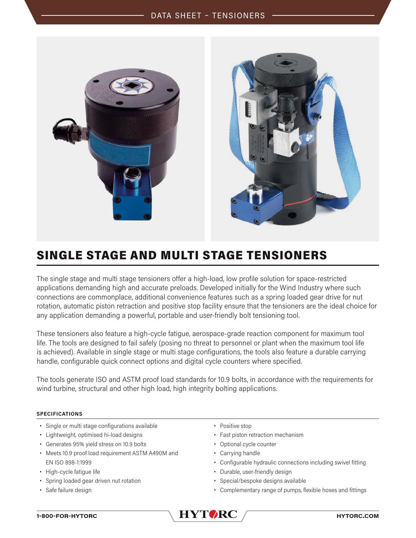

## SINGLE STAGE AND MULTI STAGE TENSIONERS

The single stage and multi stage tensioners offer a high-load, low profile solution for space-restricted applications demanding high and accurate preloads. Developed initially for the Wind Industry where such connections are commonplace, additional convenience features such as a spring loaded gear drive for nut rotation, automatic piston retraction and positive stop facility ensure that the tensioners are the ideal choice for any application demanding a powerful, portable and user-friendly bolt tensioning tool.

These tensioners also feature a high-cycle fatigue, aerospace-grade reaction component for maximum tool life. The tools are designed to fail safely (posing no threat to personnel or plant when the maximum tool life is achieved). Available in single stage or multi stage configurations, the tools also feature a durable carrying handle, configurable quick connect options and digital cycle counters where specified.

The tools generate ISO and ASTM proof load standards for 10.9 bolts, in accordance with the requirements for wind turbine, structural and other high load, high integrity bolting applications.

## **SPECIFICATIONS**

- **•** Single or multi stage configurations available
- **•** Lightweight, optimised hi-load designs
- **•** Generates 95% yield stress on 10.9 bolts
- **•** Meets 10.9 proof load requirement ASTM A490M and EN ISO 898-1:1999
- **•** High-cycle fatigue life
- **•** Spring loaded gear driven nut rotation
- **•** Safe failure design
- **•** Positive stop
- **•** Fast piston retraction mechanism
- **•** Optional cycle counter
- **•** Carrying handle
- **•** Configurable hydraulic connections including swivel fitting
- **•** Durable, user-friendly design
- **•** Special/bespoke designs available
- **•** Complementary range of pumps, flexible hoses and fittings